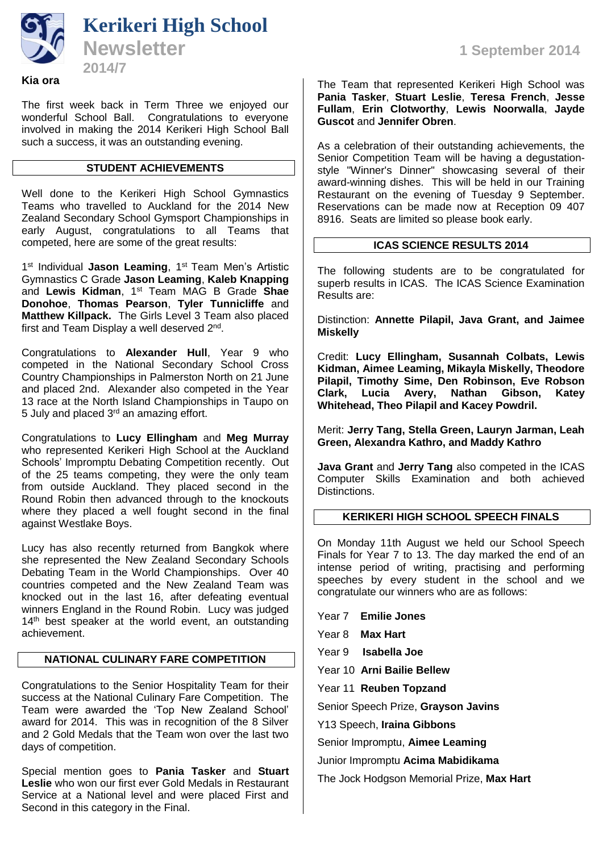

#### **Kia ora**

The first week back in Term Three we enjoyed our wonderful School Ball. Congratulations to everyone involved in making the 2014 Kerikeri High School Ball such a success, it was an outstanding evening.

## **STUDENT ACHIEVEMENTS**

Well done to the Kerikeri High School Gymnastics Teams who travelled to Auckland for the 2014 New Zealand Secondary School Gymsport Championships in early August, congratulations to all Teams that competed, here are some of the great results:

1<sup>st</sup> Individual **Jason Leaming**, 1<sup>st</sup> Team Men's Artistic Gymnastics C Grade **Jason Leaming**, **Kaleb Knapping** and **Lewis Kidman**, 1st Team MAG B Grade **Shae Donohoe**, **Thomas Pearson**, **Tyler Tunnicliffe** and **Matthew Killpack.** The Girls Level 3 Team also placed first and Team Display a well deserved 2<sup>nd</sup>.

Congratulations to **Alexander Hull**, Year 9 who competed in the National Secondary School Cross Country Championships in Palmerston North on 21 June and placed 2nd. Alexander also competed in the Year 13 race at the North Island Championships in Taupo on 5 July and placed  $3<sup>rd</sup>$  an amazing effort.

Congratulations to **Lucy Ellingham** and **Meg Murray** who represented Kerikeri High School at the Auckland Schools' Impromptu Debating Competition recently. Out of the 25 teams competing, they were the only team from outside Auckland. They placed second in the Round Robin then advanced through to the knockouts where they placed a well fought second in the final against Westlake Boys.

Lucy has also recently returned from Bangkok where she represented the New Zealand Secondary Schools Debating Team in the World Championships. Over 40 countries competed and the New Zealand Team was knocked out in the last 16, after defeating eventual winners England in the Round Robin. Lucy was judged 14<sup>th</sup> best speaker at the world event, an outstanding achievement.

# **NATIONAL CULINARY FARE COMPETITION**

Congratulations to the Senior Hospitality Team for their success at the National Culinary Fare Competition. The Team were awarded the 'Top New Zealand School' award for 2014. This was in recognition of the 8 Silver and 2 Gold Medals that the Team won over the last two days of competition.

Special mention goes to **Pania Tasker** and **Stuart Leslie** who won our first ever Gold Medals in Restaurant Service at a National level and were placed First and Second in this category in the Final.

The Team that represented Kerikeri High School was **Pania Tasker**, **Stuart Leslie**, **Teresa French**, **Jesse Fullam**, **Erin Clotworthy**, **Lewis Noorwalla**, **Jayde Guscot** and **Jennifer Obren**. **2014 2014 2014 2014 2014 2014 2014 2014** 

> As a celebration of their outstanding achievements, the Senior Competition Team will be having a degustationstyle "Winner's Dinner" showcasing several of their award-winning dishes. This will be held in our Training Restaurant on the evening of Tuesday 9 September. Reservations can be made now at Reception 09 407 8916. Seats are limited so please book early.

# **ICAS SCIENCE RESULTS 2014**

The following students are to be congratulated for superb results in ICAS. The ICAS Science Examination Results are:

Distinction: **Annette Pilapil, Java Grant, and Jaimee Miskelly**

Credit: **Lucy Ellingham, Susannah Colbats, Lewis Kidman, Aimee Leaming, Mikayla Miskelly, Theodore Pilapil, Timothy Sime, Den Robinson, Eve Robson**  Lucia Avery, **Whitehead, Theo Pilapil and Kacey Powdril.** 

Merit: **Jerry Tang, Stella Green, Lauryn Jarman, Leah Green, Alexandra Kathro, and Maddy Kathro**

**Java Grant** and **Jerry Tang** also competed in the ICAS Computer Skills Examination and both achieved Distinctions.

# **KERIKERI HIGH SCHOOL SPEECH FINALS**

On Monday 11th August we held our School Speech Finals for Year 7 to 13. The day marked the end of an intense period of writing, practising and performing speeches by every student in the school and we congratulate our winners who are as follows:

Year 7 **Emilie Jones**

Year 8 **Max Hart**

Year 9 **Isabella Joe**

Year 10 **Arni Bailie Bellew**

Year 11 **Reuben Topzand**

Senior Speech Prize, **Grayson Javins**

Y13 Speech, **Iraina Gibbons**

Senior Impromptu, **Aimee Leaming**

Junior Impromptu **Acima Mabidikama**

The Jock Hodgson Memorial Prize, **Max Hart**